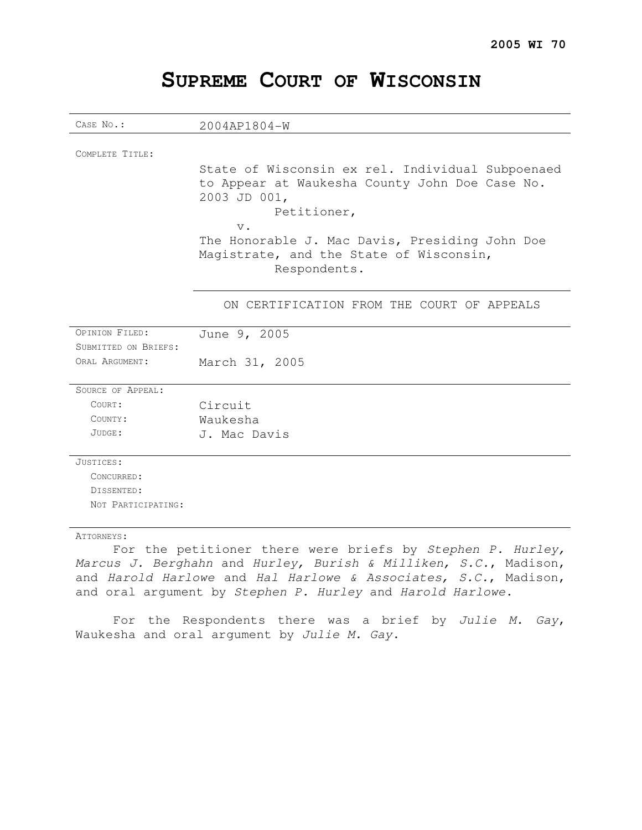# CASE NO.: 2004AP1804-W COMPLETE TITLE: State of Wisconsin ex rel. Individual Subpoenaed to Appear at Waukesha County John Doe Case No. 2003 JD 001, Petitioner, v. The Honorable J. Mac Davis, Presiding John Doe Magistrate, and the State of Wisconsin, Respondents. ON CERTIFICATION FROM THE COURT OF APPEALS OPINION FILED: June 9, 2005 SUBMITTED ON BRIEFS: ORAL ARGUMENT: March 31, 2005 SOURCE OF APPEAL: COURT: Circuit COUNTY: Waukesha JUDGE: J. Mac Davis JUSTICES: CONCURRED: DISSENTED: NOT PARTICIPATING: ATTORNEYS: For the petitioner there were briefs by Stephen P. Hurley, Marcus J. Berghahn and Hurley, Burish & Milliken, S.C., Madison, and Harold Harlowe and Hal Harlowe & Associates, S.C., Madison,

# **SUPREME COURT OF WISCONSIN**

For the Respondents there was a brief by Julie M. Gay, Waukesha and oral argument by Julie M. Gay.

and oral argument by Stephen P. Hurley and Harold Harlowe.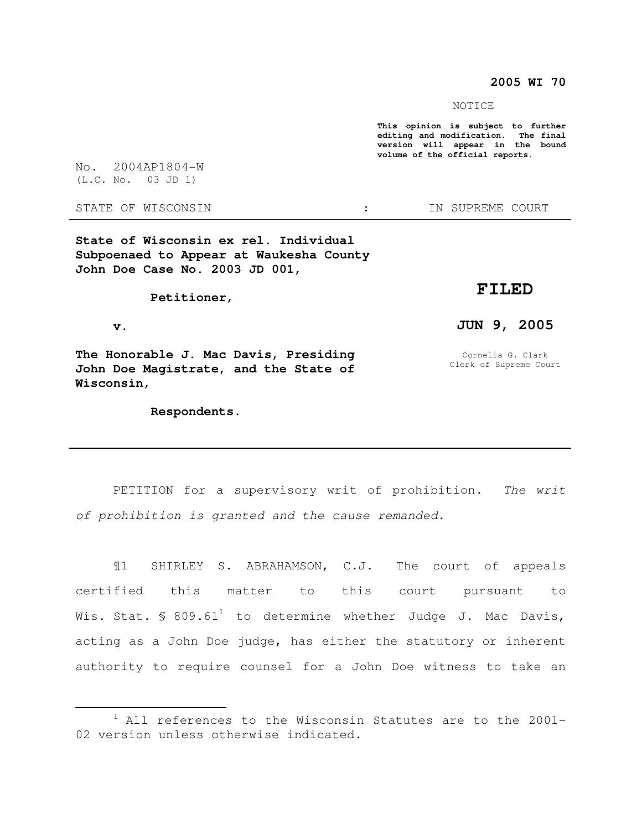#### **2005 WI 70**

NOTICE

**This opinion is subject to further editing and modification. The final version will appear in the bound volume of the official reports.** 

No. 2004AP1804-W (L.C. No. 03 JD 1)

STATE OF WISCONSIN THE STATE OF WISCONSIN THE STATE OF STATE OF STATE OF STATE OF STATE OF STATE OF STATE OF STATE OF STATE OF STATE OF STATE OF STATE OF STATE OF STATE OF STATE OF STATE OF STATE OF STATE OF STATE OF STATE

**State of Wisconsin ex rel. Individual Subpoenaed to Appear at Waukesha County John Doe Case No. 2003 JD 001,** 

 **Petitioner,** 

 **v.** 

 $\overline{a}$ 

**The Honorable J. Mac Davis, Presiding John Doe Magistrate, and the State of Wisconsin,** 

 **Respondents.** 

### **FILED**

### **JUN 9, 2005**

Cornelia G. Clark Clerk of Supreme Court

PETITION for a supervisory writ of prohibition. The writ of prohibition is granted and the cause remanded.

¶1 SHIRLEY S. ABRAHAMSON, C.J. The court of appeals certified this matter to this court pursuant to Wis. Stat. § 809.61<sup>1</sup> to determine whether Judge J. Mac Davis, acting as a John Doe judge, has either the statutory or inherent authority to require counsel for a John Doe witness to take an

 $1$  All references to the Wisconsin Statutes are to the 2001-02 version unless otherwise indicated.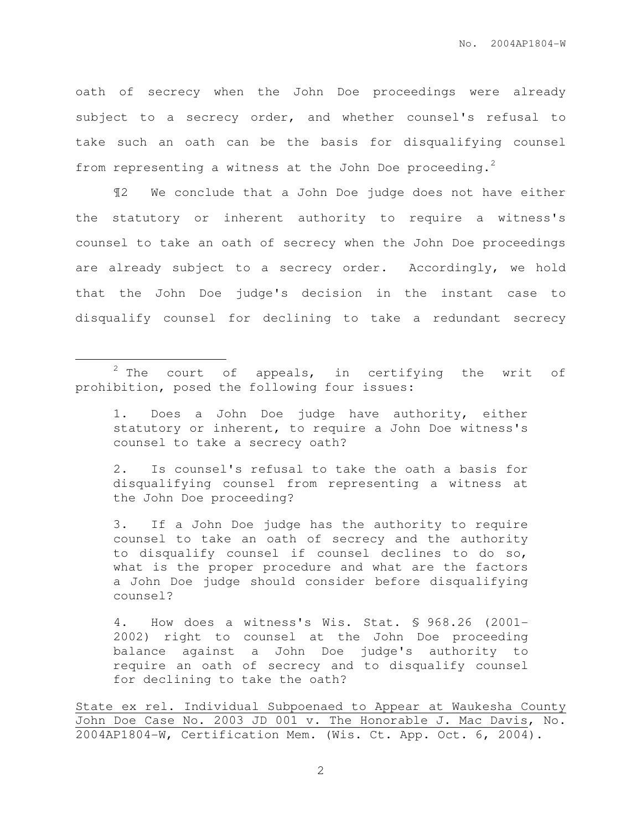oath of secrecy when the John Doe proceedings were already subject to a secrecy order, and whether counsel's refusal to take such an oath can be the basis for disqualifying counsel from representing a witness at the John Doe proceeding.<sup>2</sup>

¶2 We conclude that a John Doe judge does not have either the statutory or inherent authority to require a witness's counsel to take an oath of secrecy when the John Doe proceedings are already subject to a secrecy order. Accordingly, we hold that the John Doe judge's decision in the instant case to disqualify counsel for declining to take a redundant secrecy

 $\overline{a}$ 

1. Does a John Doe judge have authority, either statutory or inherent, to require a John Doe witness's counsel to take a secrecy oath?

2. Is counsel's refusal to take the oath a basis for disqualifying counsel from representing a witness at the John Doe proceeding?

3. If a John Doe judge has the authority to require counsel to take an oath of secrecy and the authority to disqualify counsel if counsel declines to do so, what is the proper procedure and what are the factors a John Doe judge should consider before disqualifying counsel?

4. How does a witness's Wis. Stat. § 968.26 (2001- 2002) right to counsel at the John Doe proceeding balance against a John Doe judge's authority to require an oath of secrecy and to disqualify counsel for declining to take the oath?

State ex rel. Individual Subpoenaed to Appear at Waukesha County John Doe Case No. 2003 JD 001 v. The Honorable J. Mac Davis, No. 2004AP1804-W, Certification Mem. (Wis. Ct. App. Oct. 6, 2004).

 $2$  The court of appeals, in certifying the writ of prohibition, posed the following four issues: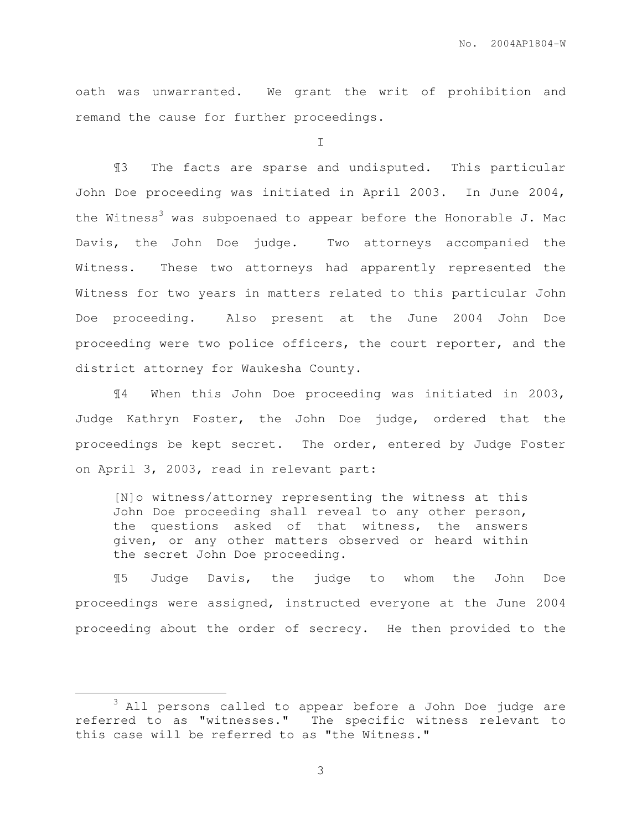oath was unwarranted. We grant the writ of prohibition and remand the cause for further proceedings.

I

¶3 The facts are sparse and undisputed. This particular John Doe proceeding was initiated in April 2003. In June 2004, the Witness<sup>3</sup> was subpoenaed to appear before the Honorable J. Mac Davis, the John Doe judge. Two attorneys accompanied the Witness. These two attorneys had apparently represented the Witness for two years in matters related to this particular John Doe proceeding. Also present at the June 2004 John Doe proceeding were two police officers, the court reporter, and the district attorney for Waukesha County.

¶4 When this John Doe proceeding was initiated in 2003, Judge Kathryn Foster, the John Doe judge, ordered that the proceedings be kept secret. The order, entered by Judge Foster on April 3, 2003, read in relevant part:

[N]o witness/attorney representing the witness at this John Doe proceeding shall reveal to any other person, the questions asked of that witness, the answers given, or any other matters observed or heard within the secret John Doe proceeding.

¶5 Judge Davis, the judge to whom the John Doe proceedings were assigned, instructed everyone at the June 2004 proceeding about the order of secrecy. He then provided to the

 $\overline{a}$ 

<sup>3</sup> All persons called to appear before a John Doe judge are referred to as "witnesses." The specific witness relevant to this case will be referred to as "the Witness."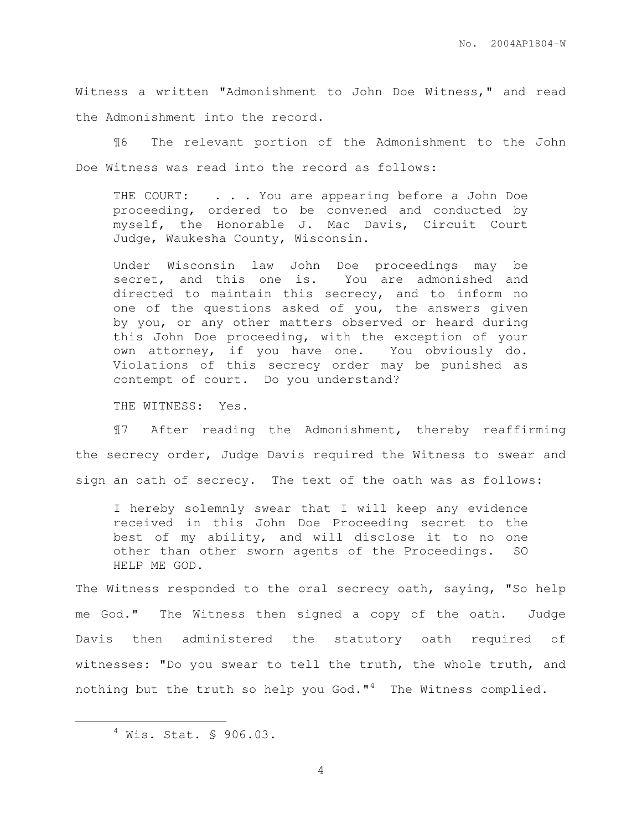Witness a written "Admonishment to John Doe Witness," and read the Admonishment into the record.

¶6 The relevant portion of the Admonishment to the John Doe Witness was read into the record as follows:

THE COURT: . . . You are appearing before a John Doe proceeding, ordered to be convened and conducted by myself, the Honorable J. Mac Davis, Circuit Court Judge, Waukesha County, Wisconsin.

Under Wisconsin law John Doe proceedings may be secret, and this one is. You are admonished and directed to maintain this secrecy, and to inform no one of the questions asked of you, the answers given by you, or any other matters observed or heard during this John Doe proceeding, with the exception of your own attorney, if you have one. You obviously do. Violations of this secrecy order may be punished as contempt of court. Do you understand?

THE WITNESS: Yes.

¶7 After reading the Admonishment, thereby reaffirming the secrecy order, Judge Davis required the Witness to swear and sign an oath of secrecy. The text of the oath was as follows:

I hereby solemnly swear that I will keep any evidence received in this John Doe Proceeding secret to the best of my ability, and will disclose it to no one other than other sworn agents of the Proceedings. SO HELP ME GOD.

The Witness responded to the oral secrecy oath, saying, "So help me God." The Witness then signed a copy of the oath. Judge Davis then administered the statutory oath required of witnesses: "Do you swear to tell the truth, the whole truth, and nothing but the truth so help you God." $4$  The Witness complied.

 $\overline{a}$ 

 $4$  Wis. Stat. § 906.03.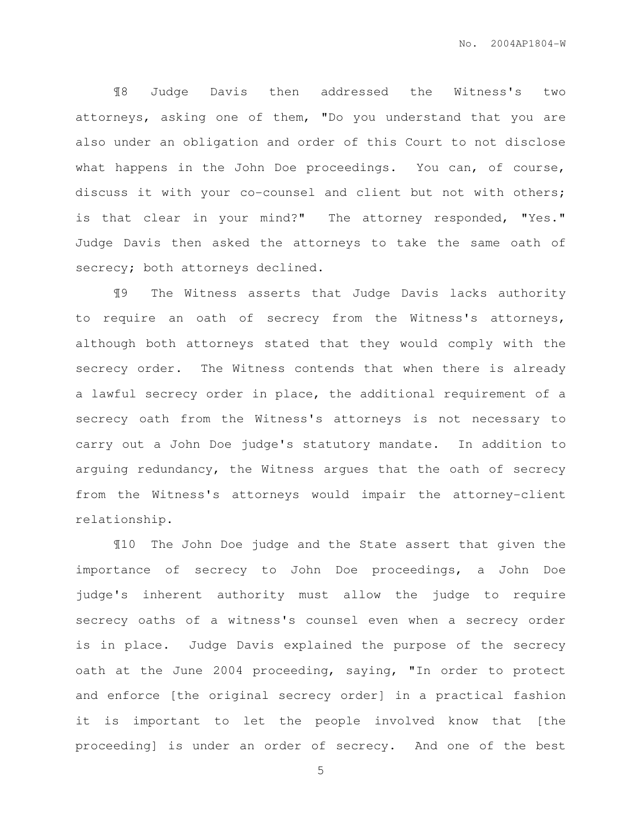¶8 Judge Davis then addressed the Witness's two attorneys, asking one of them, "Do you understand that you are also under an obligation and order of this Court to not disclose what happens in the John Doe proceedings. You can, of course, discuss it with your co-counsel and client but not with others; is that clear in your mind?" The attorney responded, "Yes." Judge Davis then asked the attorneys to take the same oath of secrecy; both attorneys declined.

¶9 The Witness asserts that Judge Davis lacks authority to require an oath of secrecy from the Witness's attorneys, although both attorneys stated that they would comply with the secrecy order. The Witness contends that when there is already a lawful secrecy order in place, the additional requirement of a secrecy oath from the Witness's attorneys is not necessary to carry out a John Doe judge's statutory mandate. In addition to arguing redundancy, the Witness argues that the oath of secrecy from the Witness's attorneys would impair the attorney-client relationship.

¶10 The John Doe judge and the State assert that given the importance of secrecy to John Doe proceedings, a John Doe judge's inherent authority must allow the judge to require secrecy oaths of a witness's counsel even when a secrecy order is in place. Judge Davis explained the purpose of the secrecy oath at the June 2004 proceeding, saying, "In order to protect and enforce [the original secrecy order] in a practical fashion it is important to let the people involved know that [the proceeding] is under an order of secrecy. And one of the best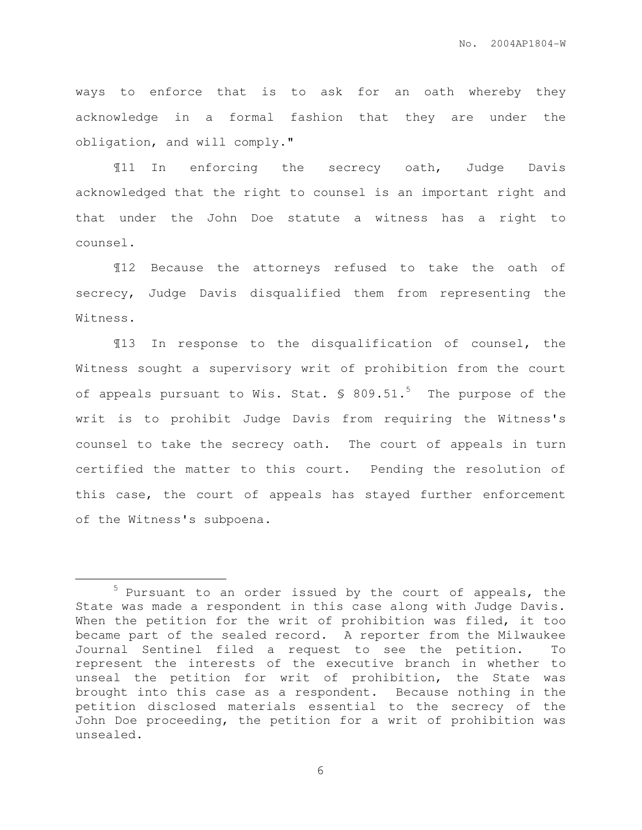ways to enforce that is to ask for an oath whereby they acknowledge in a formal fashion that they are under the obligation, and will comply."

¶11 In enforcing the secrecy oath, Judge Davis acknowledged that the right to counsel is an important right and that under the John Doe statute a witness has a right to counsel.

¶12 Because the attorneys refused to take the oath of secrecy, Judge Davis disqualified them from representing the Witness.

¶13 In response to the disqualification of counsel, the Witness sought a supervisory writ of prohibition from the court of appeals pursuant to Wis. Stat.  $\frac{1}{5}$  809.51.<sup>5</sup> The purpose of the writ is to prohibit Judge Davis from requiring the Witness's counsel to take the secrecy oath. The court of appeals in turn certified the matter to this court. Pending the resolution of this case, the court of appeals has stayed further enforcement of the Witness's subpoena.

 $\overline{a}$ 

<sup>&</sup>lt;sup>5</sup> Pursuant to an order issued by the court of appeals, the State was made a respondent in this case along with Judge Davis. When the petition for the writ of prohibition was filed, it too became part of the sealed record. A reporter from the Milwaukee Journal Sentinel filed a request to see the petition. To represent the interests of the executive branch in whether to unseal the petition for writ of prohibition, the State was brought into this case as a respondent. Because nothing in the petition disclosed materials essential to the secrecy of the John Doe proceeding, the petition for a writ of prohibition was unsealed.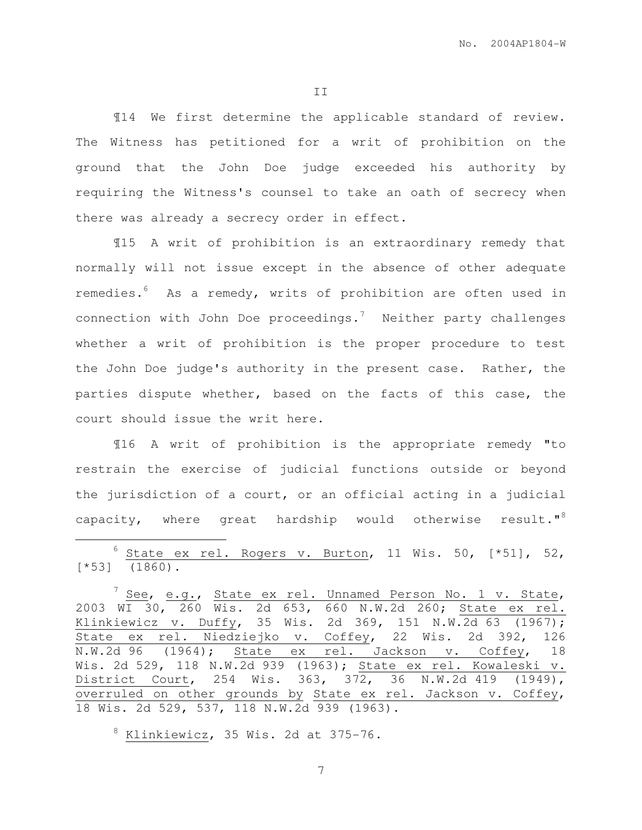II

¶14 We first determine the applicable standard of review. The Witness has petitioned for a writ of prohibition on the ground that the John Doe judge exceeded his authority by requiring the Witness's counsel to take an oath of secrecy when there was already a secrecy order in effect.

¶15 A writ of prohibition is an extraordinary remedy that normally will not issue except in the absence of other adequate remedies.<sup>6</sup> As a remedy, writs of prohibition are often used in connection with John Doe proceedings.<sup>7</sup> Neither party challenges whether a writ of prohibition is the proper procedure to test the John Doe judge's authority in the present case. Rather, the parties dispute whether, based on the facts of this case, the court should issue the writ here.

¶16 A writ of prohibition is the appropriate remedy "to restrain the exercise of judicial functions outside or beyond the jurisdiction of a court, or an official acting in a judicial capacity, where great hardship would otherwise result."<sup>8</sup>

 $6$  State ex rel. Rogers v. Burton, 11 Wis. 50,  $[ *51]$ , 52, [\*53] (1860).

 $8$  Klinkiewicz, 35 Wis. 2d at 375-76.

 $\overline{a}$ 

 $^7$  See, e.g., State ex rel. Unnamed Person No. 1 v. State, 2003 WI 30, 260 Wis. 2d 653, 660 N.W.2d 260; State ex rel. Klinkiewicz v. Duffy, 35 Wis. 2d 369, 151 N.W.2d 63 (1967); State ex rel. Niedziejko v. Coffey, 22 Wis. 2d 392, 126 N.W.2d 96 (1964); State ex rel. Jackson v. Coffey, 18 Wis. 2d 529, 118 N.W.2d 939 (1963); State ex rel. Kowaleski v. District Court, 254 Wis. 363, 372, 36 N.W.2d 419 (1949), overruled on other grounds by State ex rel. Jackson v. Coffey, 18 Wis. 2d 529, 537, 118 N.W.2d 939 (1963).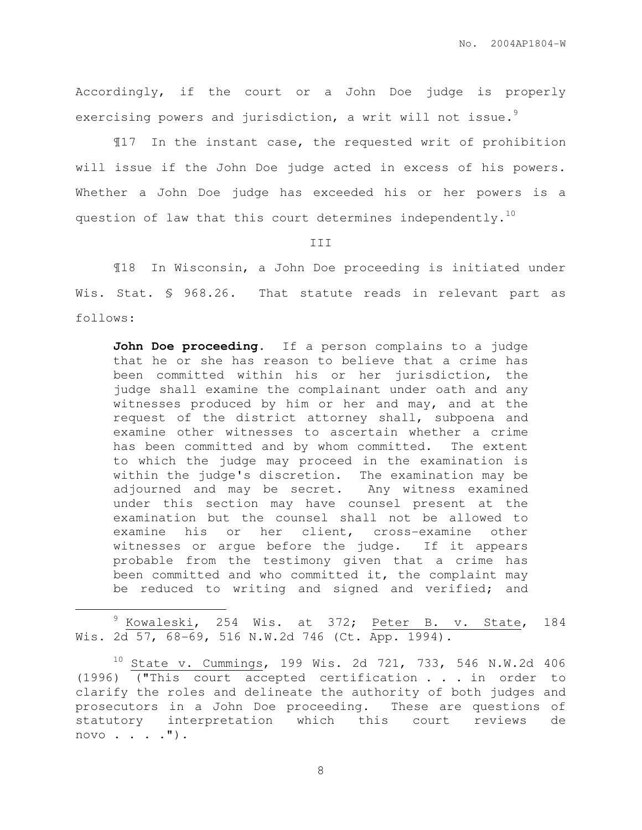Accordingly, if the court or a John Doe judge is properly exercising powers and jurisdiction, a writ will not issue.<sup>9</sup>

¶17 In the instant case, the requested writ of prohibition will issue if the John Doe judge acted in excess of his powers. Whether a John Doe judge has exceeded his or her powers is a question of law that this court determines independently.<sup>10</sup>

III

¶18 In Wisconsin, a John Doe proceeding is initiated under Wis. Stat. § 968.26. That statute reads in relevant part as follows:

John Doe proceeding. If a person complains to a judge that he or she has reason to believe that a crime has been committed within his or her jurisdiction, the judge shall examine the complainant under oath and any witnesses produced by him or her and may, and at the request of the district attorney shall, subpoena and examine other witnesses to ascertain whether a crime has been committed and by whom committed. The extent to which the judge may proceed in the examination is within the judge's discretion. The examination may be adjourned and may be secret. Any witness examined under this section may have counsel present at the examination but the counsel shall not be allowed to examine his or her client, cross-examine other witnesses or argue before the judge. If it appears probable from the testimony given that a crime has been committed and who committed it, the complaint may be reduced to writing and signed and verified; and

<sup>9</sup> Kowaleski, 254 Wis. at 372; Peter B. v. State, 184 Wis. 2d 57, 68-69, 516 N.W.2d 746 (Ct. App. 1994).

 $\overline{a}$ 

 $10$  State v. Cummings, 199 Wis. 2d 721, 733, 546 N.W.2d 406 (1996) ("This court accepted certification . . . in order to clarify the roles and delineate the authority of both judges and prosecutors in a John Doe proceeding. These are questions of statutory interpretation which this court reviews de  $novo \cdot \cdot \cdot \cdot \cdot$ ").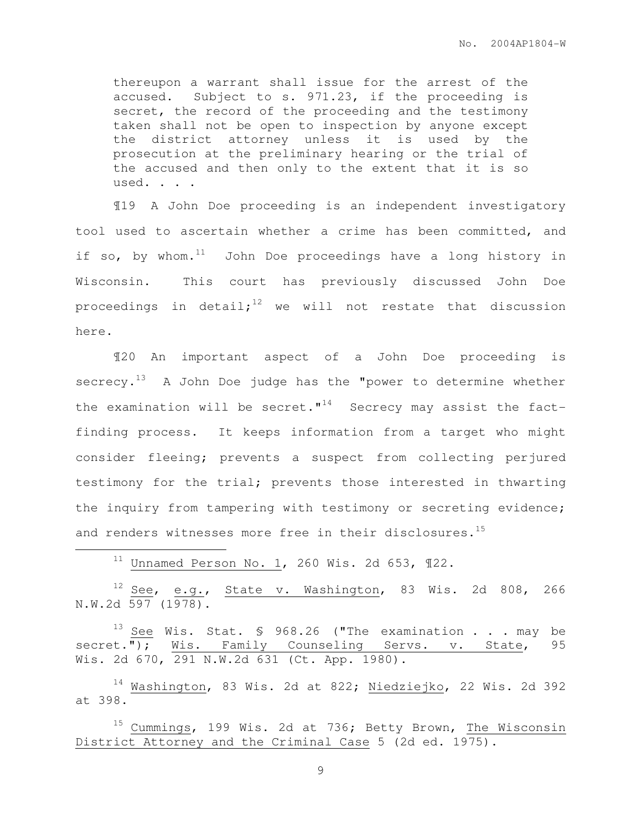thereupon a warrant shall issue for the arrest of the accused. Subject to s. 971.23, if the proceeding is secret, the record of the proceeding and the testimony taken shall not be open to inspection by anyone except the district attorney unless it is used by the prosecution at the preliminary hearing or the trial of the accused and then only to the extent that it is so used. . . .

¶19 A John Doe proceeding is an independent investigatory tool used to ascertain whether a crime has been committed, and if so, by whom. $^{11}$  John Doe proceedings have a long history in Wisconsin. This court has previously discussed John Doe proceedings in detail;<sup>12</sup> we will not restate that discussion here.

¶20 An important aspect of a John Doe proceeding is  $s$ ecrecy.<sup>13</sup> A John Doe judge has the "power to determine whether the examination will be secret. $"$ <sup>14</sup> Secrecy may assist the factfinding process. It keeps information from a target who might consider fleeing; prevents a suspect from collecting perjured testimony for the trial; prevents those interested in thwarting the inquiry from tampering with testimony or secreting evidence; and renders witnesses more free in their disclosures.<sup>15</sup>

 $11$  Unnamed Person No. 1, 260 Wis. 2d 653,  $\P$ 22.

 $\overline{a}$ 

 $12$  See, e.g., State v. Washington, 83 Wis. 2d 808, 266  $N.W.2d$  597 (1978).

 $13$  See Wis. Stat. § 968.26 ("The examination . . . may be secret."); Wis. Family Counseling Servs. v. State, 95 Wis. 2d 670, 291 N.W.2d 631 (Ct. App. 1980).

<sup>14</sup> Washington, 83 Wis. 2d at 822; Niedziejko, 22 Wis. 2d 392 at 398.

<sup>15</sup> Cummings, 199 Wis. 2d at 736; Betty Brown, The Wisconsin District Attorney and the Criminal Case 5 (2d ed. 1975).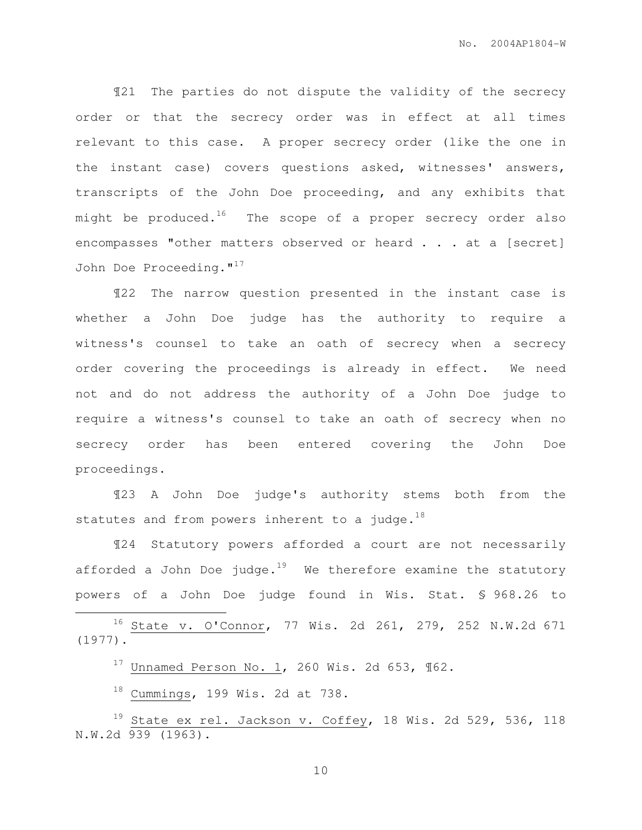¶21 The parties do not dispute the validity of the secrecy order or that the secrecy order was in effect at all times relevant to this case. A proper secrecy order (like the one in the instant case) covers questions asked, witnesses' answers, transcripts of the John Doe proceeding, and any exhibits that might be produced.<sup>16</sup> The scope of a proper secrecy order also encompasses "other matters observed or heard . . . at a [secret] John Doe Proceeding."<sup>17</sup>

¶22 The narrow question presented in the instant case is whether a John Doe judge has the authority to require a witness's counsel to take an oath of secrecy when a secrecy order covering the proceedings is already in effect. We need not and do not address the authority of a John Doe judge to require a witness's counsel to take an oath of secrecy when no secrecy order has been entered covering the John Doe proceedings.

¶23 A John Doe judge's authority stems both from the statutes and from powers inherent to a judge. $^{18}$ 

¶24 Statutory powers afforded a court are not necessarily afforded a John Doe judge. $19$  We therefore examine the statutory powers of a John Doe judge found in Wis. Stat. § 968.26 to

<sup>16</sup> State v. O'Connor, 77 Wis. 2d 261, 279, 252 N.W.2d 671 (1977).

 $17$  Unnamed Person No. 1, 260 Wis. 2d 653,  $\P62$ .

 $18$  Cummings, 199 Wis. 2d at 738.

 $\overline{a}$ 

 $19$  State ex rel. Jackson v. Coffey, 18 Wis. 2d 529, 536, 118 N.W.2d 939 (1963).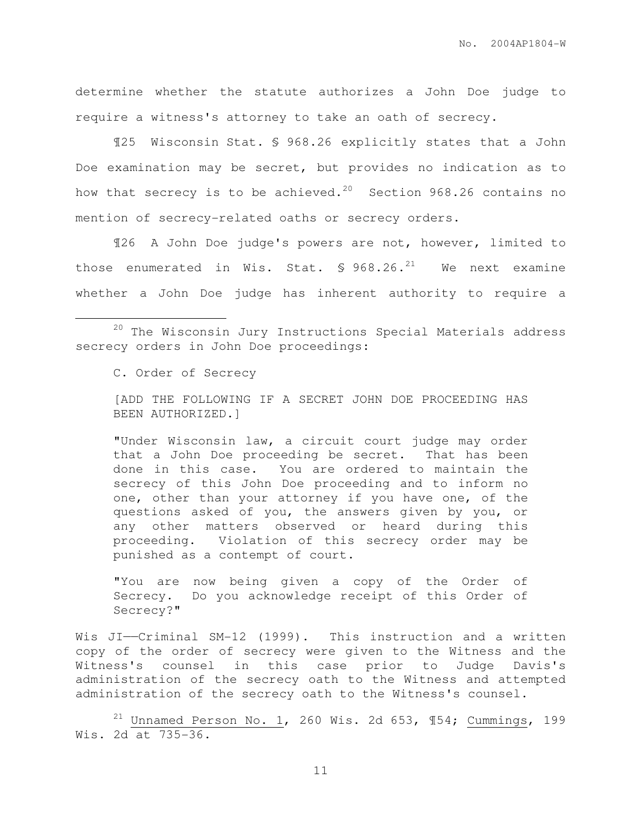determine whether the statute authorizes a John Doe judge to require a witness's attorney to take an oath of secrecy.

¶25 Wisconsin Stat. § 968.26 explicitly states that a John Doe examination may be secret, but provides no indication as to how that secrecy is to be achieved.<sup>20</sup> Section 968.26 contains no mention of secrecy-related oaths or secrecy orders.

¶26 A John Doe judge's powers are not, however, limited to those enumerated in Wis. Stat.  $\frac{1}{2}$  968.26.<sup>21</sup> We next examine whether a John Doe judge has inherent authority to require a

C. Order of Secrecy

 $\overline{a}$ 

[ADD THE FOLLOWING IF A SECRET JOHN DOE PROCEEDING HAS BEEN AUTHORIZED.]

"Under Wisconsin law, a circuit court judge may order that a John Doe proceeding be secret. That has been done in this case. You are ordered to maintain the secrecy of this John Doe proceeding and to inform no one, other than your attorney if you have one, of the questions asked of you, the answers given by you, or any other matters observed or heard during this proceeding. Violation of this secrecy order may be punished as a contempt of court.

"You are now being given a copy of the Order of Secrecy. Do you acknowledge receipt of this Order of Secrecy?"

Wis JI--Criminal SM-12 (1999). This instruction and a written copy of the order of secrecy were given to the Witness and the Witness's counsel in this case prior to Judge Davis's administration of the secrecy oath to the Witness and attempted administration of the secrecy oath to the Witness's counsel.

 $^{21}$  Unnamed Person No. 1, 260 Wis. 2d 653, ¶54; Cummings, 199 Wis. 2d at 735-36.

<sup>20</sup> The Wisconsin Jury Instructions Special Materials address secrecy orders in John Doe proceedings: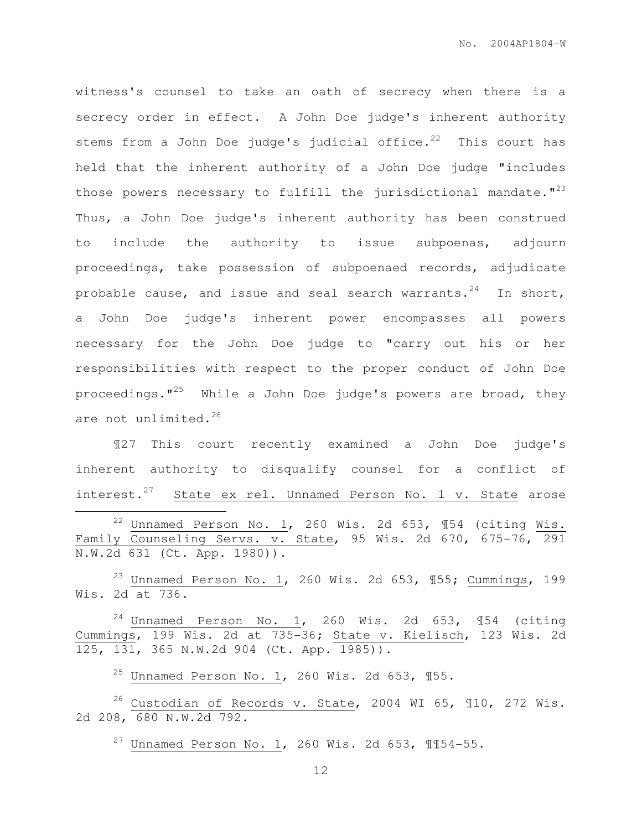witness's counsel to take an oath of secrecy when there is a secrecy order in effect. A John Doe judge's inherent authority stems from a John Doe judge's judicial office. $22$  This court has held that the inherent authority of a John Doe judge "includes those powers necessary to fulfill the jurisdictional mandate. $123$ Thus, a John Doe judge's inherent authority has been construed to include the authority to issue subpoenas, adjourn proceedings, take possession of subpoenaed records, adjudicate probable cause, and issue and seal search warrants. $24$  In short, a John Doe judge's inherent power encompasses all powers necessary for the John Doe judge to "carry out his or her responsibilities with respect to the proper conduct of John Doe proceedings. $1^{25}$  While a John Doe judge's powers are broad, they are not unlimited.<sup>26</sup>

¶27 This court recently examined a John Doe judge's inherent authority to disqualify counsel for a conflict of interest.<sup>27</sup> State ex rel. Unnamed Person No. 1 v. State arose  $\overline{a}$ <sup>22</sup> Unnamed Person No. 1, 260 Wis. 2d 653,  $\sqrt{154}$  (citing Wis. Family Counseling Servs. v. State, 95 Wis. 2d 670, 675-76, 291 N.W.2d 631 (Ct. App. 1980)).

<sup>23</sup> Unnamed Person No. 1, 260 Wis. 2d 653,  $\text{\textsterling}55$ ; Cummings, 199 Wis. 2d at 736.

 $24$  Unnamed Person No. 1, 260 Wis. 2d 653, 154 (citing Cummings, 199 Wis. 2d at 735-36; State v. Kielisch, 123 Wis. 2d 125, 131, 365 N.W.2d 904 (Ct. App. 1985)).

 $^{25}$  Unnamed Person No. 1, 260 Wis. 2d 653, ¶55.

 $^{26}$  Custodian of Records v. State, 2004 WI 65, 110, 272 Wis. 2d 208, 680 N.W.2d 792.

 $27$  Unnamed Person No. 1, 260 Wis. 2d 653, 1154-55.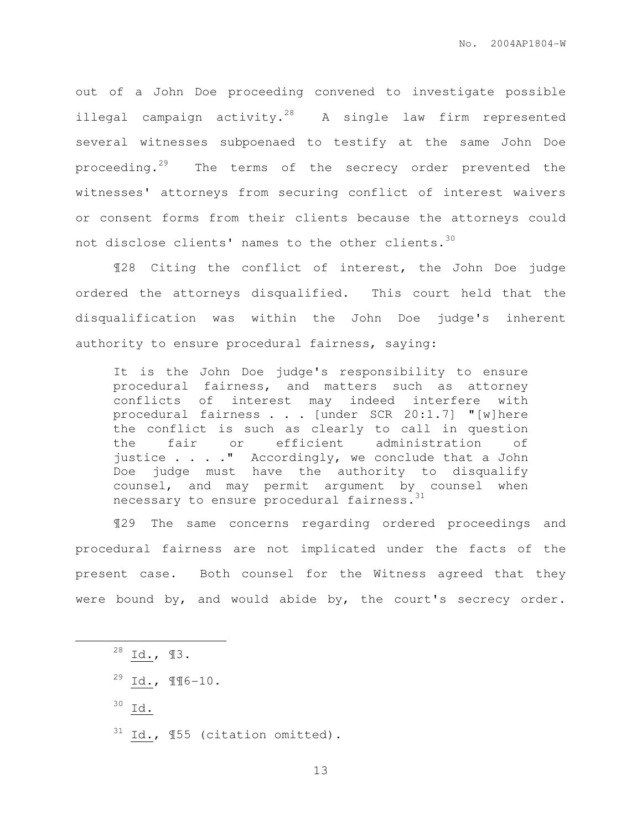out of a John Doe proceeding convened to investigate possible illegal campaign activity.<sup>28</sup> A single law firm represented several witnesses subpoenaed to testify at the same John Doe proceeding.<sup>29</sup> The terms of the secrecy order prevented the witnesses' attorneys from securing conflict of interest waivers or consent forms from their clients because the attorneys could not disclose clients' names to the other clients.<sup>30</sup>

¶28 Citing the conflict of interest, the John Doe judge ordered the attorneys disqualified. This court held that the disqualification was within the John Doe judge's inherent authority to ensure procedural fairness, saying:

It is the John Doe judge's responsibility to ensure procedural fairness, and matters such as attorney conflicts of interest may indeed interfere with procedural fairness . . . [under SCR 20:1.7] "[w]here the conflict is such as clearly to call in question the fair or efficient administration of justice . . . ." Accordingly, we conclude that a John Doe judge must have the authority to disqualify counsel, and may permit argument by counsel when necessary to ensure procedural fairness.<sup>31</sup>

¶29 The same concerns regarding ordered proceedings and procedural fairness are not implicated under the facts of the present case. Both counsel for the Witness agreed that they were bound by, and would abide by, the court's secrecy order.

 $28$  Id.,  $13$ .  $29$  Id.,  $\P$  $\P$  $6-10$ .  $30$  Id.  $31$  Id.,  $\P 55$  (citation omitted).

 $\overline{a}$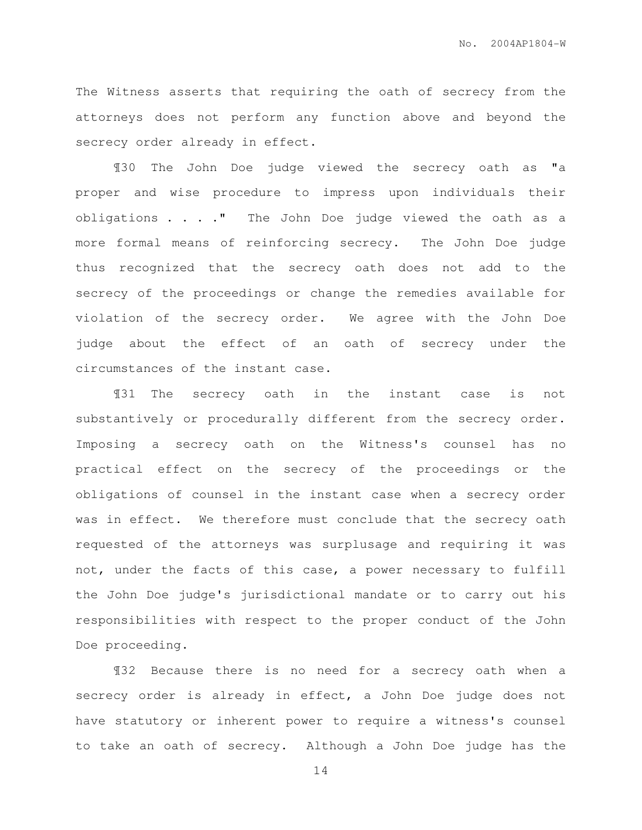The Witness asserts that requiring the oath of secrecy from the attorneys does not perform any function above and beyond the secrecy order already in effect.

¶30 The John Doe judge viewed the secrecy oath as "a proper and wise procedure to impress upon individuals their obligations . . . ." The John Doe judge viewed the oath as a more formal means of reinforcing secrecy. The John Doe judge thus recognized that the secrecy oath does not add to the secrecy of the proceedings or change the remedies available for violation of the secrecy order. We agree with the John Doe judge about the effect of an oath of secrecy under the circumstances of the instant case.

¶31 The secrecy oath in the instant case is not substantively or procedurally different from the secrecy order. Imposing a secrecy oath on the Witness's counsel has no practical effect on the secrecy of the proceedings or the obligations of counsel in the instant case when a secrecy order was in effect. We therefore must conclude that the secrecy oath requested of the attorneys was surplusage and requiring it was not, under the facts of this case, a power necessary to fulfill the John Doe judge's jurisdictional mandate or to carry out his responsibilities with respect to the proper conduct of the John Doe proceeding.

¶32 Because there is no need for a secrecy oath when a secrecy order is already in effect, a John Doe judge does not have statutory or inherent power to require a witness's counsel to take an oath of secrecy. Although a John Doe judge has the